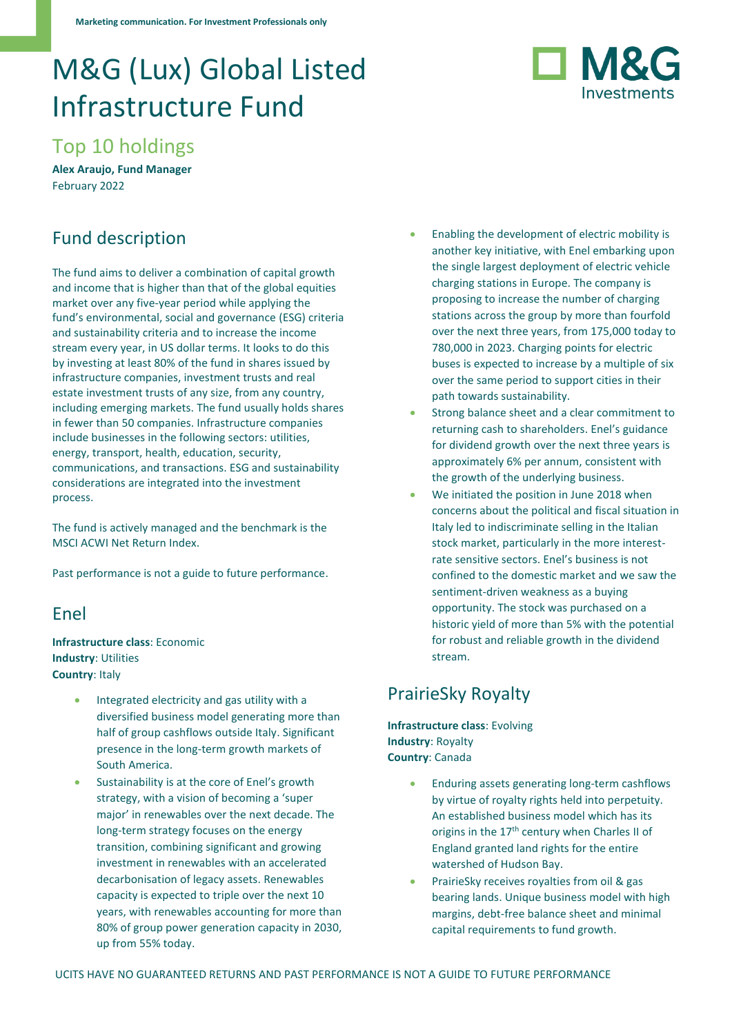# M&G (Lux) Global Listed Infrastructure Fund



Top 10 holdings

**Alex Araujo, Fund Manager** February 2022

# Fund description

The fund aims to deliver a combination of capital growth and income that is higher than that of the global equities market over any five-year period while applying the fund's environmental, social and governance (ESG) criteria and sustainability criteria and to increase the income stream every year, in US dollar terms. It looks to do this by investing at least 80% of the fund in shares issued by infrastructure companies, investment trusts and real estate investment trusts of any size, from any country, including emerging markets. The fund usually holds shares in fewer than 50 companies. Infrastructure companies include businesses in the following sectors: utilities, energy, transport, health, education, security, communications, and transactions. ESG and sustainability considerations are integrated into the investment process.

The fund is actively managed and the benchmark is the MSCI ACWI Net Return Index.

Past performance is not a guide to future performance.

#### Enel

**Infrastructure class**: Economic **Industry**: Utilities **Country**: Italy

- Integrated electricity and gas utility with a diversified business model generating more than half of group cashflows outside Italy. Significant presence in the long-term growth markets of South America.
- Sustainability is at the core of Enel's growth strategy, with a vision of becoming a 'super major' in renewables over the next decade. The long-term strategy focuses on the energy transition, combining significant and growing investment in renewables with an accelerated decarbonisation of legacy assets. Renewables capacity is expected to triple over the next 10 years, with renewables accounting for more than 80% of group power generation capacity in 2030, up from 55% today.
- Enabling the development of electric mobility is another key initiative, with Enel embarking upon the single largest deployment of electric vehicle charging stations in Europe. The company is proposing to increase the number of charging stations across the group by more than fourfold over the next three years, from 175,000 today to 780,000 in 2023. Charging points for electric buses is expected to increase by a multiple of six over the same period to support cities in their path towards sustainability.
- Strong balance sheet and a clear commitment to returning cash to shareholders. Enel's guidance for dividend growth over the next three years is approximately 6% per annum, consistent with the growth of the underlying business.
- We initiated the position in June 2018 when concerns about the political and fiscal situation in Italy led to indiscriminate selling in the Italian stock market, particularly in the more interestrate sensitive sectors. Enel's business is not confined to the domestic market and we saw the sentiment-driven weakness as a buying opportunity. The stock was purchased on a historic yield of more than 5% with the potential for robust and reliable growth in the dividend stream.

# PrairieSky Royalty

**Infrastructure class**: Evolving **Industry**: Royalty **Country**: Canada

- Enduring assets generating long-term cashflows by virtue of royalty rights held into perpetuity. An established business model which has its origins in the 17<sup>th</sup> century when Charles II of England granted land rights for the entire watershed of Hudson Bay.
- PrairieSky receives royalties from oil & gas bearing lands. Unique business model with high margins, debt-free balance sheet and minimal capital requirements to fund growth.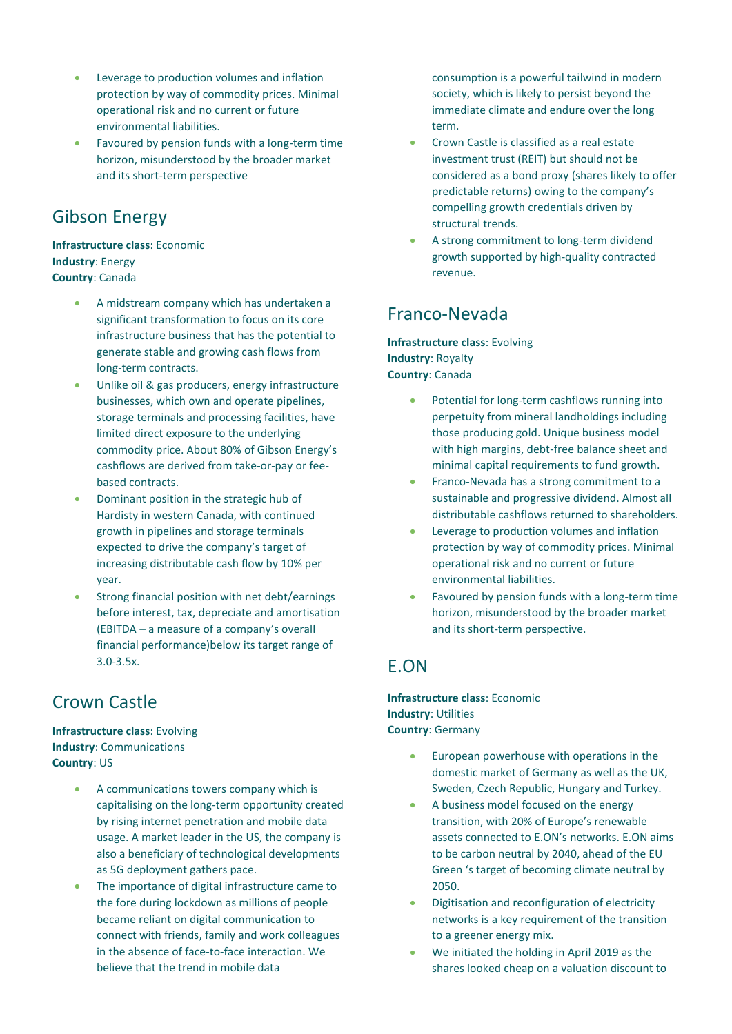- Leverage to production volumes and inflation protection by way of commodity prices. Minimal operational risk and no current or future environmental liabilities.
- Favoured by pension funds with a long-term time horizon, misunderstood by the broader market and its short-term perspective

## Gibson Energy

#### **Infrastructure class**: Economic **Industry**: Energy **Country**: Canada

- A midstream company which has undertaken a significant transformation to focus on its core infrastructure business that has the potential to generate stable and growing cash flows from long-term contracts.
- Unlike oil & gas producers, energy infrastructure businesses, which own and operate pipelines, storage terminals and processing facilities, have limited direct exposure to the underlying commodity price. About 80% of Gibson Energy's cashflows are derived from take-or-pay or feebased contracts.
- Dominant position in the strategic hub of Hardisty in western Canada, with continued growth in pipelines and storage terminals expected to drive the company's target of increasing distributable cash flow by 10% per year.
- Strong financial position with net debt/earnings before interest, tax, depreciate and amortisation (EBITDA – a measure of a company's overall financial performance)below its target range of 3.0-3.5x.

# Crown Castle

#### **Infrastructure class**: Evolving **Industry**: Communications **Country**: US

- A communications towers company which is capitalising on the long-term opportunity created by rising internet penetration and mobile data usage. A market leader in the US, the company is also a beneficiary of technological developments as 5G deployment gathers pace.
- The importance of digital infrastructure came to the fore during lockdown as millions of people became reliant on digital communication to connect with friends, family and work colleagues in the absence of face-to-face interaction. We believe that the trend in mobile data

consumption is a powerful tailwind in modern society, which is likely to persist beyond the immediate climate and endure over the long term.

- Crown Castle is classified as a real estate investment trust (REIT) but should not be considered as a bond proxy (shares likely to offer predictable returns) owing to the company's compelling growth credentials driven by structural trends.
- A strong commitment to long-term dividend growth supported by high-quality contracted revenue.

### Franco-Nevada

**Infrastructure class**: Evolving **Industry**: Royalty **Country**: Canada

- Potential for long-term cashflows running into perpetuity from mineral landholdings including those producing gold. Unique business model with high margins, debt-free balance sheet and minimal capital requirements to fund growth.
- Franco-Nevada has a strong commitment to a sustainable and progressive dividend. Almost all distributable cashflows returned to shareholders.
- Leverage to production volumes and inflation protection by way of commodity prices. Minimal operational risk and no current or future environmental liabilities.
- Favoured by pension funds with a long-term time horizon, misunderstood by the broader market and its short-term perspective.

#### E.ON

**Infrastructure class**: Economic **Industry**: Utilities **Country**: Germany

- European powerhouse with operations in the domestic market of Germany as well as the UK, Sweden, Czech Republic, Hungary and Turkey.
- A business model focused on the energy transition, with 20% of Europe's renewable assets connected to E.ON's networks. E.ON aims to be carbon neutral by 2040, ahead of the EU Green 's target of becoming climate neutral by 2050.
- Digitisation and reconfiguration of electricity networks is a key requirement of the transition to a greener energy mix.
- We initiated the holding in April 2019 as the shares looked cheap on a valuation discount to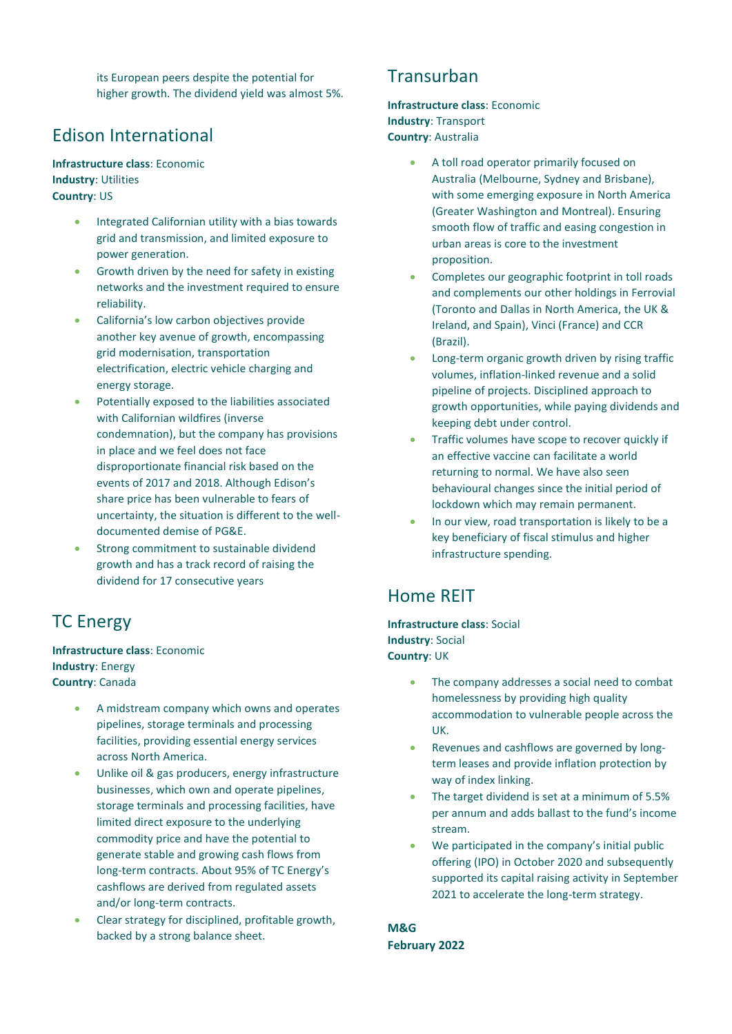its European peers despite the potential for higher growth. The dividend yield was almost 5%.

#### Edison International

#### **Infrastructure class**: Economic **Industry**: Utilities **Country**: US

- Integrated Californian utility with a bias towards grid and transmission, and limited exposure to power generation.
- Growth driven by the need for safety in existing networks and the investment required to ensure reliability.
- California's low carbon objectives provide another key avenue of growth, encompassing grid modernisation, transportation electrification, electric vehicle charging and energy storage.
- Potentially exposed to the liabilities associated with Californian wildfires (inverse condemnation), but the company has provisions in place and we feel does not face disproportionate financial risk based on the events of 2017 and 2018. Although Edison's share price has been vulnerable to fears of uncertainty, the situation is different to the welldocumented demise of PG&E.
- Strong commitment to sustainable dividend growth and has a track record of raising the dividend for 17 consecutive years

### TC Energy

**Infrastructure class**: Economic **Industry**: Energy **Country**: Canada

- A midstream company which owns and operates pipelines, storage terminals and processing facilities, providing essential energy services across North America.
- Unlike oil & gas producers, energy infrastructure businesses, which own and operate pipelines, storage terminals and processing facilities, have limited direct exposure to the underlying commodity price and have the potential to generate stable and growing cash flows from long-term contracts. About 95% of TC Energy's cashflows are derived from regulated assets and/or long-term contracts.
- Clear strategy for disciplined, profitable growth, backed by a strong balance sheet.

#### **Transurban**

**Infrastructure class**: Economic **Industry**: Transport **Country**: Australia

- A toll road operator primarily focused on Australia (Melbourne, Sydney and Brisbane), with some emerging exposure in North America (Greater Washington and Montreal). Ensuring smooth flow of traffic and easing congestion in urban areas is core to the investment proposition.
- Completes our geographic footprint in toll roads and complements our other holdings in Ferrovial (Toronto and Dallas in North America, the UK & Ireland, and Spain), Vinci (France) and CCR (Brazil).
- Long-term organic growth driven by rising traffic volumes, inflation-linked revenue and a solid pipeline of projects. Disciplined approach to growth opportunities, while paying dividends and keeping debt under control.
- Traffic volumes have scope to recover quickly if an effective vaccine can facilitate a world returning to normal. We have also seen behavioural changes since the initial period of lockdown which may remain permanent.
- In our view, road transportation is likely to be a key beneficiary of fiscal stimulus and higher infrastructure spending.

### Home REIT

**Infrastructure class**: Social **Industry**: Social **Country**: UK

- The company addresses a social need to combat homelessness by providing high quality accommodation to vulnerable people across the UK.
- Revenues and cashflows are governed by longterm leases and provide inflation protection by way of index linking.
- The target dividend is set at a minimum of 5.5% per annum and adds ballast to the fund's income stream.
- We participated in the company's initial public offering (IPO) in October 2020 and subsequently supported its capital raising activity in September 2021 to accelerate the long-term strategy.

**M&G February 2022**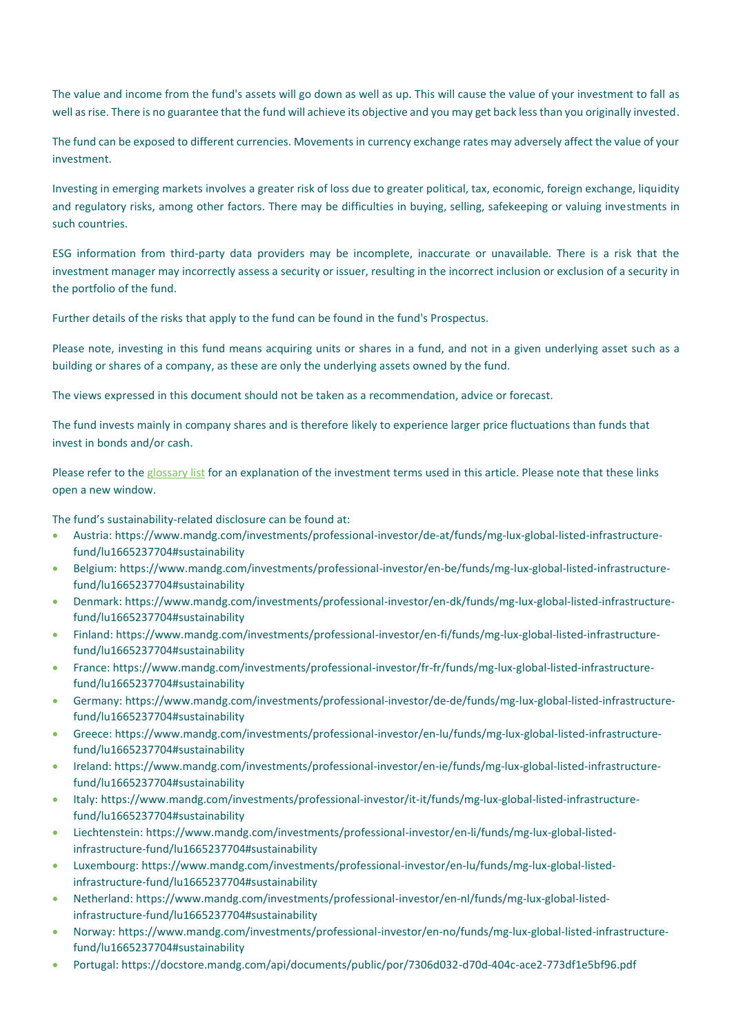The value and income from the fund's assets will go down as well as up. This will cause the value of your investment to fall as well as rise. There is no guarantee that the fund will achieve its objective and you may get back less than you originally invested.

The fund can be exposed to different currencies. Movements in currency exchange rates may adversely affect the value of your investment.

Investing in emerging markets involves a greater risk of loss due to greater political, tax, economic, foreign exchange, liquidity and regulatory risks, among other factors. There may be difficulties in buying, selling, safekeeping or valuing investments in such countries.

ESG information from third-party data providers may be incomplete, inaccurate or unavailable. There is a risk that the investment manager may incorrectly assess a security or issuer, resulting in the incorrect inclusion or exclusion of a security in the portfolio of the fund.

Further details of the risks that apply to the fund can be found in the fund's Prospectus.

Please note, investing in this fund means acquiring units or shares in a fund, and not in a given underlying asset such as a building or shares of a company, as these are only the underlying assets owned by the fund.

The views expressed in this document should not be taken as a recommendation, advice or forecast.

The fund invests mainly in company shares and is therefore likely to experience larger price fluctuations than funds that invest in bonds and/or cash.

Please refer to the [glossary list](https://www.mandg.com/dam/global/shared/en/documents/glossary-master-en.pdf) for an explanation of the investment terms used in this article. Please note that these links open a new window.

The fund's sustainability-related disclosure can be found at:

- Austria: [https://www.mandg.com/investments/professional-investor/de-at/funds/mg-lux-global-listed-infrastructure](https://www.mandg.com/investments/professional-investor/de-at/funds/mg-lux-global-listed-infrastructure-fund/lu1665237704#sustainability)[fund/lu1665237704#sustainability](https://www.mandg.com/investments/professional-investor/de-at/funds/mg-lux-global-listed-infrastructure-fund/lu1665237704#sustainability)
- Belgium: https://www.mandg.com/investments/professional-investor/en-be/funds/mg-lux-global-listed-infrastructurefund/lu1665237704#sustainability
- Denmark: [https://www.mandg.com/investments/professional-investor/en-dk/funds/mg-lux-global-listed-infrastructure](https://www.mandg.com/investments/professional-investor/en-dk/funds/mg-lux-global-listed-infrastructure-fund/lu1665237704#sustainability)[fund/lu1665237704#sustainability](https://www.mandg.com/investments/professional-investor/en-dk/funds/mg-lux-global-listed-infrastructure-fund/lu1665237704#sustainability)
- Finland: https://www.mandg.com/investments/professional-investor/en-fi/funds/mg-lux-global-listed-infrastructurefund/lu1665237704#sustainability
- France: https://www.mandg.com/investments/professional-investor/fr-fr/funds/mg-lux-global-listed-infrastructurefund/lu1665237704#sustainability
- Germany: https://www.mandg.com/investments/professional-investor/de-de/funds/mg-lux-global-listed-infrastructurefund/lu1665237704#sustainability
- Greece: [https://www.mandg.com/investments/professional-investor/en-lu/funds/mg-lux-global-listed-infrastructure](https://www.mandg.com/investments/professional-investor/en-lu/funds/mg-lux-global-listed-infrastructure-fund/lu1665237704#sustainability)[fund/lu1665237704#sustainability](https://www.mandg.com/investments/professional-investor/en-lu/funds/mg-lux-global-listed-infrastructure-fund/lu1665237704#sustainability)
- Ireland: https://www.mandg.com/investments/professional-investor/en-ie/funds/mg-lux-global-listed-infrastructurefund/lu1665237704#sustainability
- Italy: https://www.mandg.com/investments/professional-investor/it-it/funds/mg-lux-global-listed-infrastructurefund/lu1665237704#sustainability
- Liechtenstein: https://www.mandg.com/investments/professional-investor/en-li/funds/mg-lux-global-listedinfrastructure-fund/lu1665237704#sustainability
- Luxembourg: https://www.mandg.com/investments/professional-investor/en-lu/funds/mg-lux-global-listedinfrastructure-fund/lu1665237704#sustainability
- Netherland: https://www.mandg.com/investments/professional-investor/en-nl/funds/mg-lux-global-listedinfrastructure-fund/lu1665237704#sustainability
- Norway: [https://www.mandg.com/investments/professional-investor/en-no/funds/mg-lux-global-listed-infrastructure](https://www.mandg.com/investments/professional-investor/en-no/funds/mg-lux-global-listed-infrastructure-fund/lu1665237704#sustainability)[fund/lu1665237704#sustainability](https://www.mandg.com/investments/professional-investor/en-no/funds/mg-lux-global-listed-infrastructure-fund/lu1665237704#sustainability)
- Portugal:<https://docstore.mandg.com/api/documents/public/por/7306d032-d70d-404c-ace2-773df1e5bf96.pdf>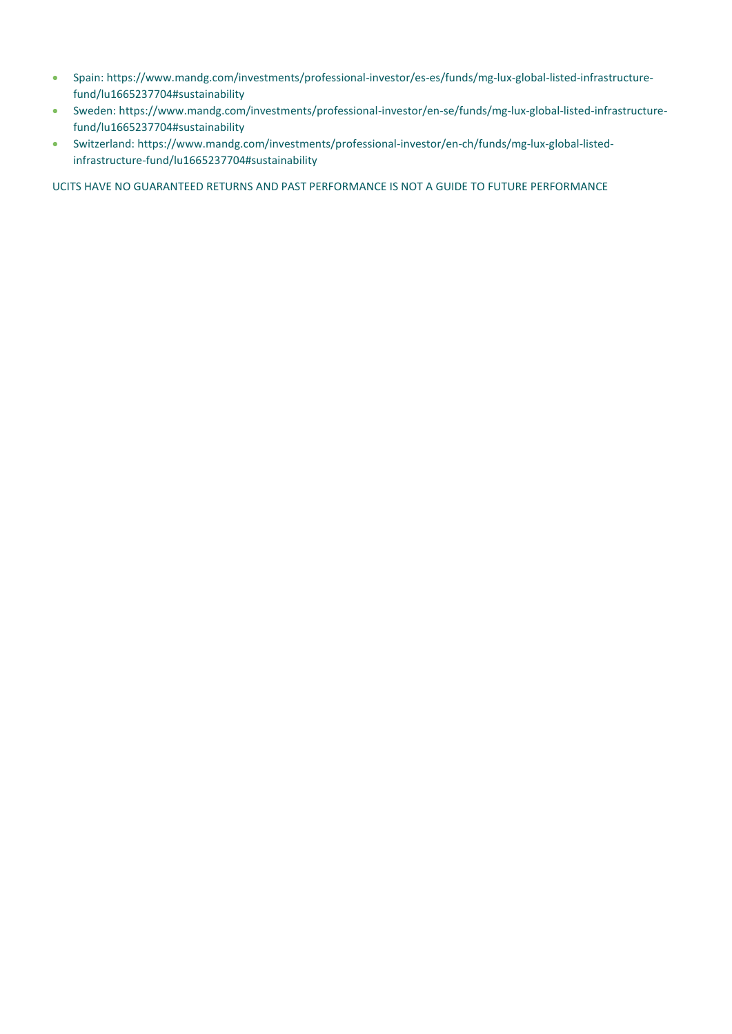- Spain: https://www.mandg.com/investments/professional-investor/es-es/funds/mg-lux-global-listed-infrastructurefund/lu1665237704#sustainability
- Sweden: https://www.mandg.com/investments/professional-investor/en-se/funds/mg-lux-global-listed-infrastructurefund/lu1665237704#sustainability
- Switzerland: https://www.mandg.com/investments/professional-investor/en-ch/funds/mg-lux-global-listedinfrastructure-fund/lu1665237704#sustainability

UCITS HAVE NO GUARANTEED RETURNS AND PAST PERFORMANCE IS NOT A GUIDE TO FUTURE PERFORMANCE